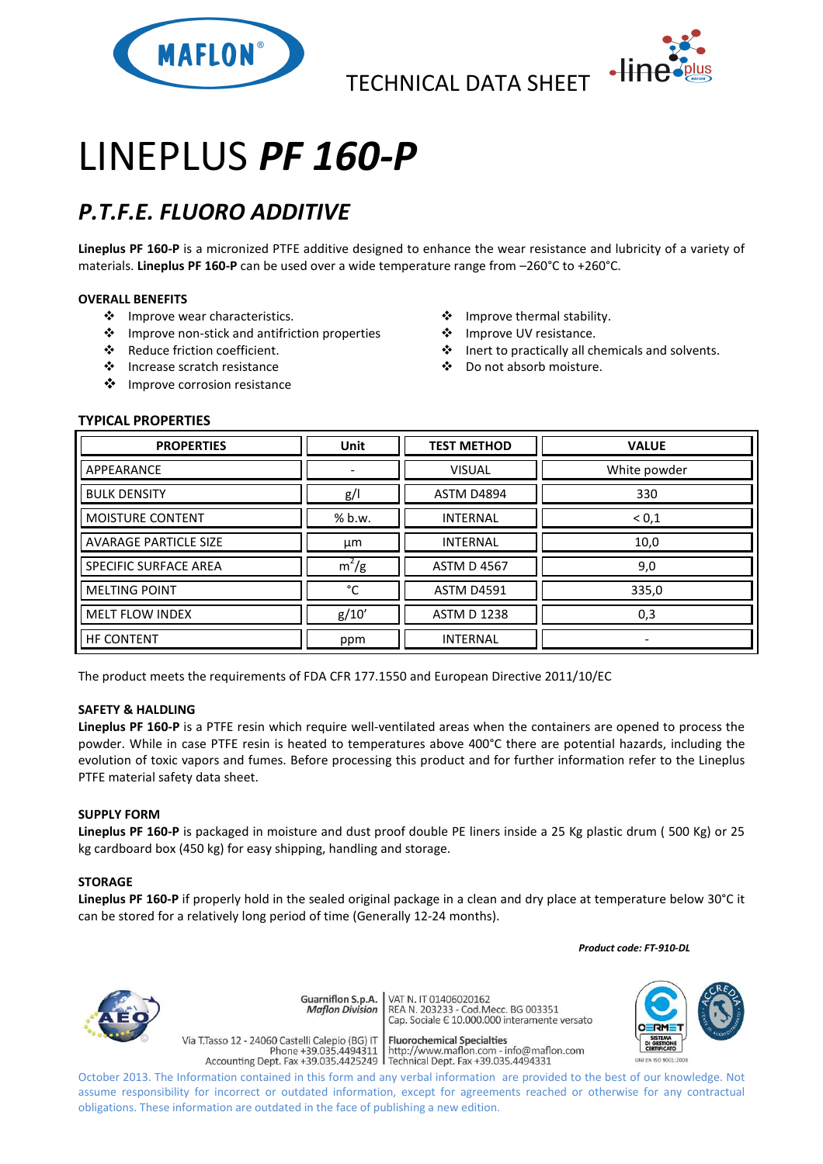

TECHNICAL DATA SHEET



# LINEPLUS *PF 160-P*

## *P.T.F.E. FLUORO ADDITIVE*

**Lineplus PF 160-P** is a micronized PTFE additive designed to enhance the wear resistance and lubricity of a variety of materials. **Lineplus PF 160-P** can be used over a wide temperature range from –260°C to +260°C.

### **OVERALL BENEFITS**

- ❖ Improve wear characteristics.
- Improve non-stick and antifriction properties
- Reduce friction coefficient.
- Increase scratch resistance
- ❖ Improve corrosion resistance
- ❖ Improve thermal stability.
- ❖ Improve UV resistance.
- Inert to practically all chemicals and solvents.
- Do not absorb moisture.

### **TYPICAL PROPERTIES**

| <b>PROPERTIES</b>            | <b>Unit</b> | <b>TEST METHOD</b> | <b>VALUE</b>             |
|------------------------------|-------------|--------------------|--------------------------|
| APPEARANCE                   |             | <b>VISUAL</b>      | White powder             |
| <b>BULK DENSITY</b>          | g/          | <b>ASTM D4894</b>  | 330                      |
| MOISTURE CONTENT             | % b.w.      | <b>INTERNAL</b>    | ${}^{<}0,1$              |
| <b>AVARAGE PARTICLE SIZE</b> | μm          | <b>INTERNAL</b>    | 10,0                     |
| SPECIFIC SURFACE AREA        | $m^2/g$     | <b>ASTM D 4567</b> | 9,0                      |
| <b>MELTING POINT</b>         | °C          | <b>ASTM D4591</b>  | 335,0                    |
| <b>MELT FLOW INDEX</b>       | g/10'       | <b>ASTM D 1238</b> | 0,3                      |
| <b>HF CONTENT</b>            | ppm         | <b>INTERNAL</b>    | $\overline{\phantom{0}}$ |

The product meets the requirements of FDA CFR 177.1550 and European Directive 2011/10/EC

#### **SAFETY & HALDLING**

**Lineplus PF 160-P** is a PTFE resin which require well-ventilated areas when the containers are opened to process the powder. While in case PTFE resin is heated to temperatures above 400°C there are potential hazards, including the evolution of toxic vapors and fumes. Before processing this product and for further information refer to the Lineplus PTFE material safety data sheet.

#### **SUPPLY FORM**

**Lineplus PF 160-P** is packaged in moisture and dust proof double PE liners inside a 25 Kg plastic drum ( 500 Kg) or 25 kg cardboard box (450 kg) for easy shipping, handling and storage.

#### **STORAGE**

**Lineplus PF 160-P** if properly hold in the sealed original package in a clean and dry place at temperature below 30°C it can be stored for a relatively long period of time (Generally 12-24 months).

 *Product code: FT-910-DL*



Guarniflon S.p.A. **Maflon Division** 

Via T.Tasso 12 - 24060 Castelli Calepio (BG) IT

VAT N. IT 01406020162 REA N. 11 01400020102<br>REA N. 203233 - Cod.Mecc. BG 003351<br>Cap. Sociale E 10.000.000 interamente versato

**Fluorochemical Specialties** rideso 12 - 24060 Castelli Calepio (BG) if<br>Phone +39.035.4494311 http://www.maflon.com - info@maflon.com<br>Accounting Dept. Fax +39.035.4425249 Technical Dept. Fax +39.035.4494331



October 2013. The Information contained in this form and any verbal information are provided to the best of our knowledge. Not assume responsibility for incorrect or outdated information, except for agreements reached or otherwise for any contractual obligations. These information are outdated in the face of publishing a new edition.